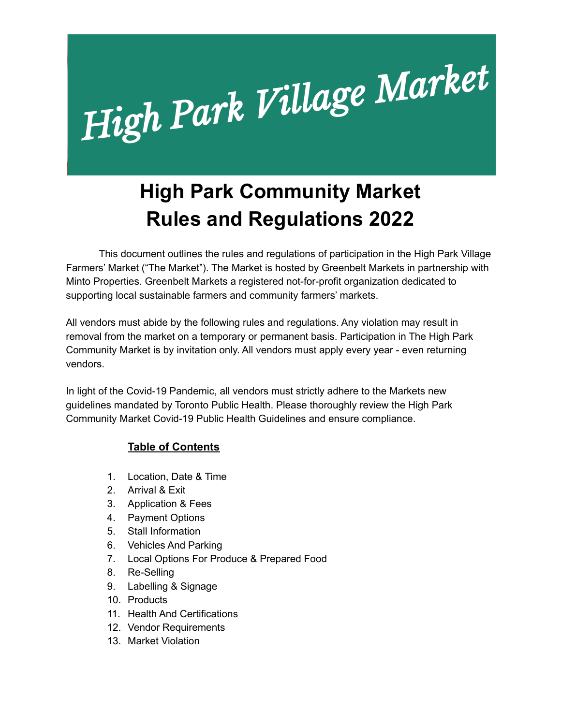# High Park Village Market

# **High Park Community Market Rules and Regulations 2022**

This document outlines the rules and regulations of participation in the High Park Village Farmers' Market ("The Market"). The Market is hosted by Greenbelt Markets in partnership with Minto Properties. Greenbelt Markets a registered not-for-profit organization dedicated to supporting local sustainable farmers and community farmers' markets.

All vendors must abide by the following rules and regulations. Any violation may result in removal from the market on a temporary or permanent basis. Participation in The High Park Community Market is by invitation only. All vendors must apply every year - even returning vendors.

In light of the Covid-19 Pandemic, all vendors must strictly adhere to the Markets new guidelines mandated by Toronto Public Health. Please thoroughly review the High Park Community Market Covid-19 Public Health Guidelines and ensure compliance.

#### **Table of Contents**

- 1. Location, Date & Time
- 2. Arrival & Exit
- 3. Application & Fees
- 4. Payment Options
- 5. Stall Information
- 6. Vehicles And Parking
- 7. Local Options For Produce & Prepared Food
- 8. Re-Selling
- 9. Labelling & Signage
- 10. Products
- 11. Health And Certifications
- 12. Vendor Requirements
- 13. Market Violation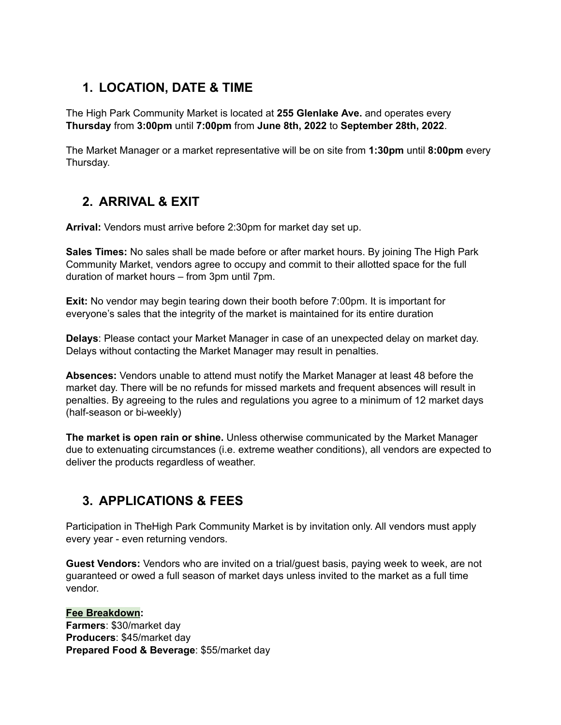# **1. LOCATION, DATE & TIME**

The High Park Community Market is located at **255 Glenlake Ave.** and operates every **Thursday** from **3:00pm** until **7:00pm** from **June 8th, 2022** to **September 28th, 2022**.

The Market Manager or a market representative will be on site from **1:30pm** until **8:00pm** every Thursday.

#### **2. ARRIVAL & EXIT**

**Arrival:** Vendors must arrive before 2:30pm for market day set up.

**Sales Times:** No sales shall be made before or after market hours. By joining The High Park Community Market, vendors agree to occupy and commit to their allotted space for the full duration of market hours – from 3pm until 7pm.

**Exit:** No vendor may begin tearing down their booth before 7:00pm. It is important for everyone's sales that the integrity of the market is maintained for its entire duration

**Delays**: Please contact your Market Manager in case of an unexpected delay on market day. Delays without contacting the Market Manager may result in penalties.

**Absences:** Vendors unable to attend must notify the Market Manager at least 48 before the market day. There will be no refunds for missed markets and frequent absences will result in penalties. By agreeing to the rules and regulations you agree to a minimum of 12 market days (half-season or bi-weekly)

**The market is open rain or shine.** Unless otherwise communicated by the Market Manager due to extenuating circumstances (i.e. extreme weather conditions), all vendors are expected to deliver the products regardless of weather.

## **3. APPLICATIONS & FEES**

Participation in TheHigh Park Community Market is by invitation only. All vendors must apply every year - even returning vendors.

**Guest Vendors:** Vendors who are invited on a trial/guest basis, paying week to week, are not guaranteed or owed a full season of market days unless invited to the market as a full time vendor.

**Fee Breakdown: Farmers**: \$30/market day **Producers**: \$45/market day **Prepared Food & Beverage**: \$55/market day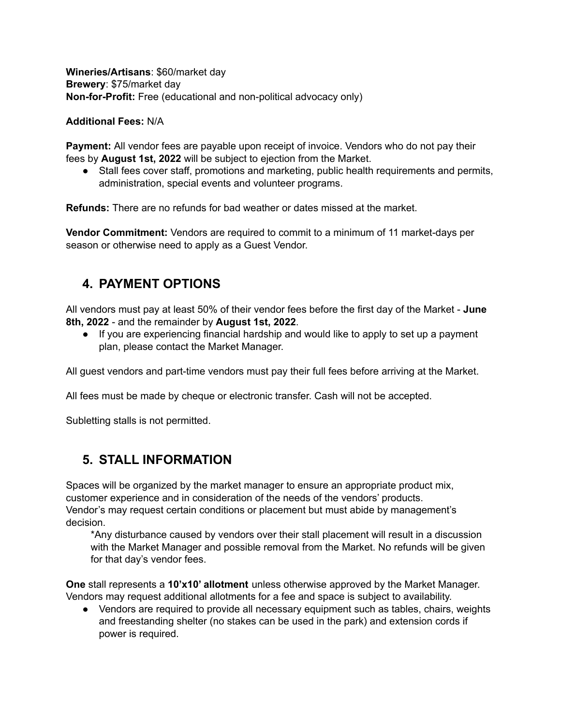**Wineries/Artisans**: \$60/market day **Brewery**: \$75/market day **Non-for-Profit:** Free (educational and non-political advocacy only)

**Additional Fees:** N/A

**Payment:** All vendor fees are payable upon receipt of invoice. Vendors who do not pay their fees by **August 1st, 2022** will be subject to ejection from the Market.

● Stall fees cover staff, promotions and marketing, public health requirements and permits, administration, special events and volunteer programs.

**Refunds:** There are no refunds for bad weather or dates missed at the market.

**Vendor Commitment:** Vendors are required to commit to a minimum of 11 market-days per season or otherwise need to apply as a Guest Vendor.

#### **4. PAYMENT OPTIONS**

All vendors must pay at least 50% of their vendor fees before the first day of the Market - **June 8th, 2022** - and the remainder by **August 1st, 2022**.

● If you are experiencing financial hardship and would like to apply to set up a payment plan, please contact the Market Manager.

All guest vendors and part-time vendors must pay their full fees before arriving at the Market.

All fees must be made by cheque or electronic transfer. Cash will not be accepted.

Subletting stalls is not permitted.

#### **5. STALL INFORMATION**

Spaces will be organized by the market manager to ensure an appropriate product mix, customer experience and in consideration of the needs of the vendors' products. Vendor's may request certain conditions or placement but must abide by management's decision.

\*Any disturbance caused by vendors over their stall placement will result in a discussion with the Market Manager and possible removal from the Market. No refunds will be given for that day's vendor fees.

**One** stall represents a **10'x10' allotment** unless otherwise approved by the Market Manager. Vendors may request additional allotments for a fee and space is subject to availability.

● Vendors are required to provide all necessary equipment such as tables, chairs, weights and freestanding shelter (no stakes can be used in the park) and extension cords if power is required.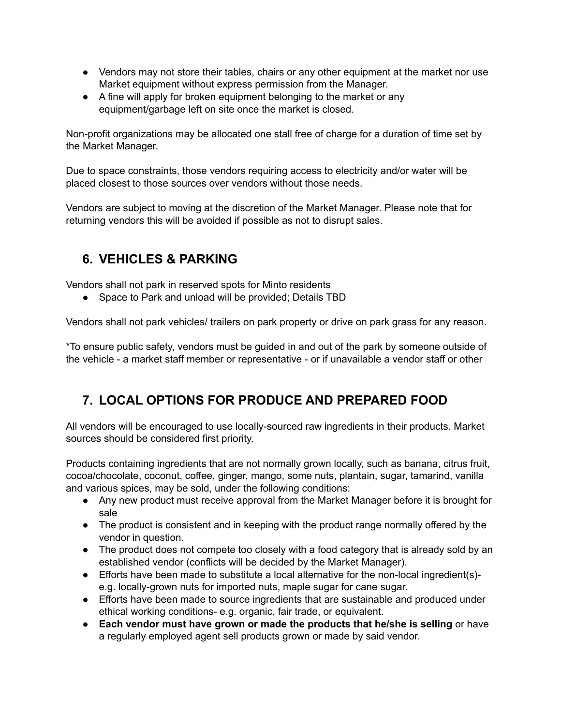- Vendors may not store their tables, chairs or any other equipment at the market nor use Market equipment without express permission from the Manager.
- A fine will apply for broken equipment belonging to the market or any equipment/garbage left on site once the market is closed.

Non-profit organizations may be allocated one stall free of charge for a duration of time set by the Market Manager.

Due to space constraints, those vendors requiring access to electricity and/or water will be placed closest to those sources over vendors without those needs.

Vendors are subject to moving at the discretion of the Market Manager. Please note that for returning vendors this will be avoided if possible as not to disrupt sales.

#### **6. VEHICLES & PARKING**

Vendors shall not park in reserved spots for Minto residents

● Space to Park and unload will be provided; Details TBD

Vendors shall not park vehicles/ trailers on park property or drive on park grass for any reason.

\*To ensure public safety, vendors must be guided in and out of the park by someone outside of the vehicle - a market staff member or representative - or if unavailable a vendor staff or other

## **7. LOCAL OPTIONS FOR PRODUCE AND PREPARED FOOD**

All vendors will be encouraged to use locally-sourced raw ingredients in their products. Market sources should be considered first priority.

Products containing ingredients that are not normally grown locally, such as banana, citrus fruit, cocoa/chocolate, coconut, coffee, ginger, mango, some nuts, plantain, sugar, tamarind, vanilla and various spices, may be sold, under the following conditions:

- Any new product must receive approval from the Market Manager before it is brought for sale
- The product is consistent and in keeping with the product range normally offered by the vendor in question.
- The product does not compete too closely with a food category that is already sold by an established vendor (conflicts will be decided by the Market Manager).
- Efforts have been made to substitute a local alternative for the non-local ingredient(s) e.g. locally-grown nuts for imported nuts, maple sugar for cane sugar.
- Efforts have been made to source ingredients that are sustainable and produced under ethical working conditions- e.g. organic, fair trade, or equivalent.
- **Each vendor must have grown or made the products that he/she is selling** or have a regularly employed agent sell products grown or made by said vendor.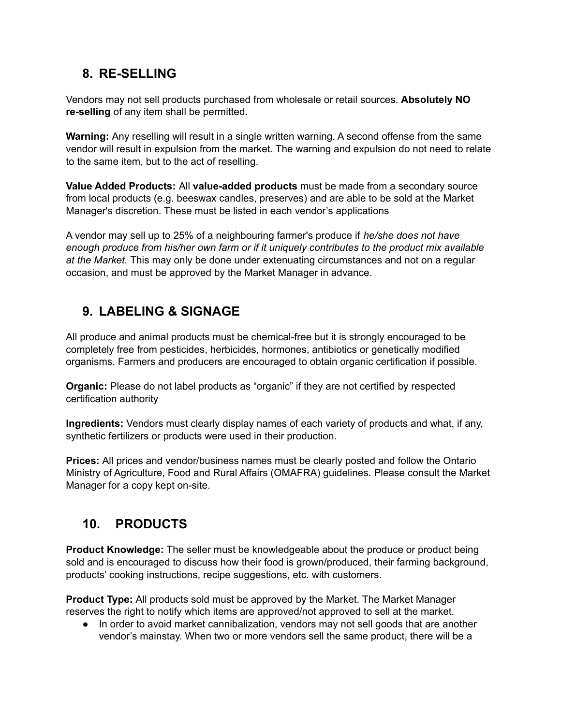#### **8. RE-SELLING**

Vendors may not sell products purchased from wholesale or retail sources. **Absolutely NO re-selling** of any item shall be permitted.

**Warning:** Any reselling will result in a single written warning. A second offense from the same vendor will result in expulsion from the market. The warning and expulsion do not need to relate to the same item, but to the act of reselling.

**Value Added Products:** All **value-added products** must be made from a secondary source from local products (e.g. beeswax candles, preserves) and are able to be sold at the Market Manager's discretion. These must be listed in each vendor's applications

A vendor may sell up to 25% of a neighbouring farmer's produce if *he/she does not have enough produce from his/her own farm or if it uniquely contributes to the product mix available at the Market.* This may only be done under extenuating circumstances and not on a regular occasion, and must be approved by the Market Manager in advance.

#### **9. LABELING & SIGNAGE**

All produce and animal products must be chemical-free but it is strongly encouraged to be completely free from pesticides, herbicides, hormones, antibiotics or genetically modified organisms. Farmers and producers are encouraged to obtain organic certification if possible.

**Organic:** Please do not label products as "organic" if they are not certified by respected certification authority

**Ingredients:** Vendors must clearly display names of each variety of products and what, if any, synthetic fertilizers or products were used in their production.

**Prices:** All prices and vendor/business names must be clearly posted and follow the Ontario Ministry of Agriculture, Food and Rural Affairs (OMAFRA) guidelines. Please consult the Market Manager for a copy kept on-site.

#### **10. PRODUCTS**

**Product Knowledge:** The seller must be knowledgeable about the produce or product being sold and is encouraged to discuss how their food is grown/produced, their farming background, products' cooking instructions, recipe suggestions, etc. with customers.

**Product Type:** All products sold must be approved by the Market. The Market Manager reserves the right to notify which items are approved/not approved to sell at the market.

● In order to avoid market cannibalization, vendors may not sell goods that are another vendor's mainstay. When two or more vendors sell the same product, there will be a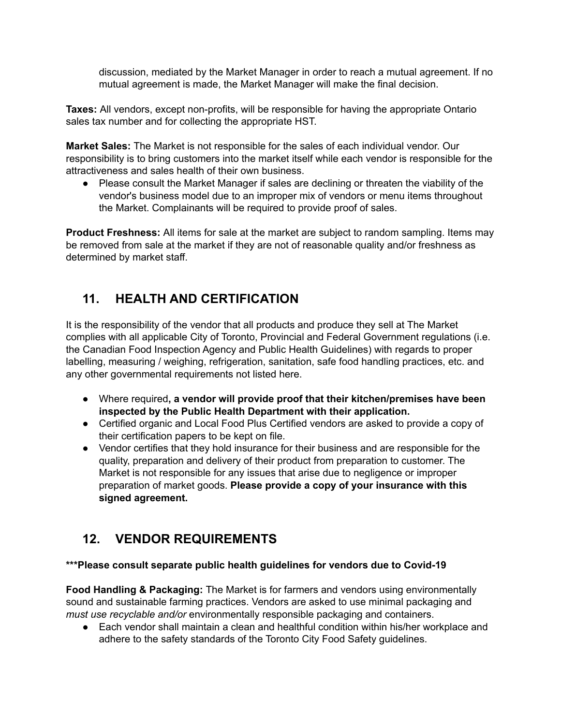discussion, mediated by the Market Manager in order to reach a mutual agreement. If no mutual agreement is made, the Market Manager will make the final decision.

**Taxes:** All vendors, except non-profits, will be responsible for having the appropriate Ontario sales tax number and for collecting the appropriate HST.

**Market Sales:** The Market is not responsible for the sales of each individual vendor. Our responsibility is to bring customers into the market itself while each vendor is responsible for the attractiveness and sales health of their own business.

● Please consult the Market Manager if sales are declining or threaten the viability of the vendor's business model due to an improper mix of vendors or menu items throughout the Market. Complainants will be required to provide proof of sales.

**Product Freshness:** All items for sale at the market are subject to random sampling. Items may be removed from sale at the market if they are not of reasonable quality and/or freshness as determined by market staff.

## **11. HEALTH AND CERTIFICATION**

It is the responsibility of the vendor that all products and produce they sell at The Market complies with all applicable City of Toronto, Provincial and Federal Government regulations (i.e. the Canadian Food Inspection Agency and Public Health Guidelines) with regards to proper labelling, measuring / weighing, refrigeration, sanitation, safe food handling practices, etc. and any other governmental requirements not listed here.

- Where required**, a vendor will provide proof that their kitchen/premises have been inspected by the Public Health Department with their application.**
- Certified organic and Local Food Plus Certified vendors are asked to provide a copy of their certification papers to be kept on file.
- Vendor certifies that they hold insurance for their business and are responsible for the quality, preparation and delivery of their product from preparation to customer. The Market is not responsible for any issues that arise due to negligence or improper preparation of market goods. **Please provide a copy of your insurance with this signed agreement.**

## **12. VENDOR REQUIREMENTS**

#### **\*\*\*Please consult separate public health guidelines for vendors due to Covid-19**

**Food Handling & Packaging:** The Market is for farmers and vendors using environmentally sound and sustainable farming practices. Vendors are asked to use minimal packaging and *must use recyclable and/or* environmentally responsible packaging and containers.

● Each vendor shall maintain a clean and healthful condition within his/her workplace and adhere to the safety standards of the Toronto City Food Safety guidelines.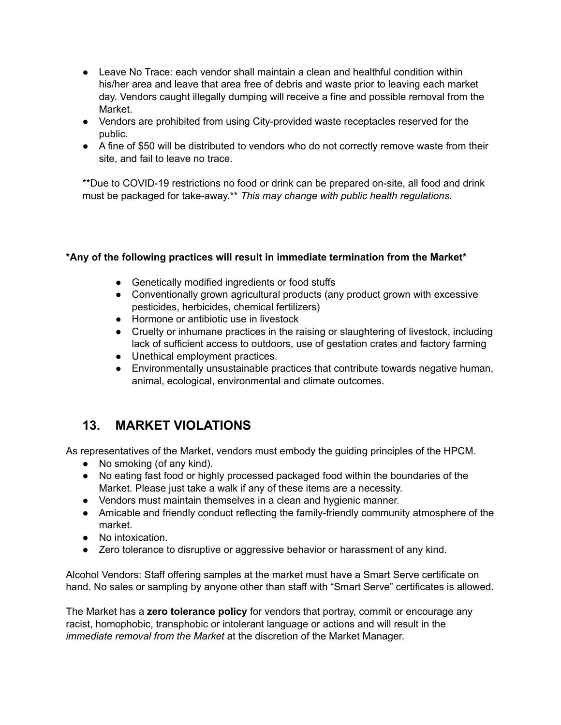- Leave No Trace: each vendor shall maintain a clean and healthful condition within his/her area and leave that area free of debris and waste prior to leaving each market day. Vendors caught illegally dumping will receive a fine and possible removal from the Market.
- Vendors are prohibited from using City-provided waste receptacles reserved for the public.
- A fine of \$50 will be distributed to vendors who do not correctly remove waste from their site, and fail to leave no trace.

\*\*Due to COVID-19 restrictions no food or drink can be prepared on-site, all food and drink must be packaged for take-away.\*\* *This may change with public health regulations.*

#### **\*Any of the following practices will result in immediate termination from the Market\***

- Genetically modified ingredients or food stuffs
- Conventionally grown agricultural products (any product grown with excessive pesticides, herbicides, chemical fertilizers)
- Hormone or antibiotic use in livestock
- Cruelty or inhumane practices in the raising or slaughtering of livestock, including lack of sufficient access to outdoors, use of gestation crates and factory farming
- Unethical employment practices.
- Environmentally unsustainable practices that contribute towards negative human, animal, ecological, environmental and climate outcomes.

#### **13. MARKET VIOLATIONS**

As representatives of the Market, vendors must embody the guiding principles of the HPCM.

- No smoking (of any kind).
- No eating fast food or highly processed packaged food within the boundaries of the Market. Please just take a walk if any of these items are a necessity.
- Vendors must maintain themselves in a clean and hygienic manner.
- Amicable and friendly conduct reflecting the family-friendly community atmosphere of the market.
- No intoxication.
- Zero tolerance to disruptive or aggressive behavior or harassment of any kind.

Alcohol Vendors: Staff offering samples at the market must have a Smart Serve certificate on hand. No sales or sampling by anyone other than staff with "Smart Serve" certificates is allowed.

The Market has a **zero tolerance policy** for vendors that portray, commit or encourage any racist, homophobic, transphobic or intolerant language or actions and will result in the *immediate removal from the Market* at the discretion of the Market Manager.